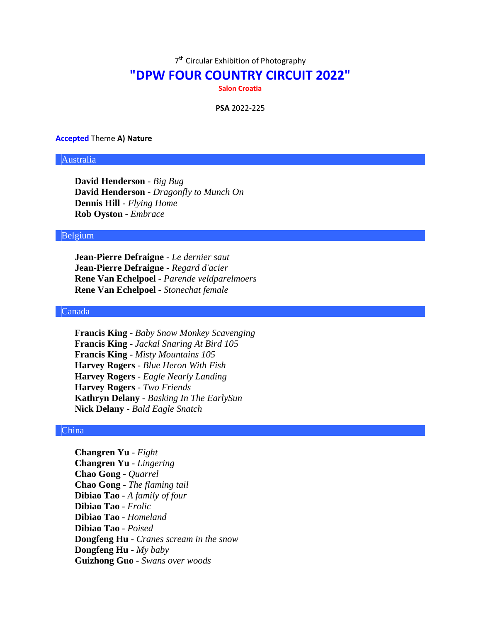7<sup>th</sup> Circular Exhibition of Photography

# **"DPW FOUR COUNTRY CIRCUIT 2022"**

**Salon Croatia**

**PSA** 2022-225

#### **Accepted** Theme **A) Nature**

## Australia

**David Henderson** - *Big Bug* **David Henderson** - *Dragonfly to Munch On* **Dennis Hill** - *Flying Home* **Rob Oyston** - *Embrace*

## Belgium

**Jean-Pierre Defraigne** - *Le dernier saut* **Jean-Pierre Defraigne** - *Regard d'acier* **Rene Van Echelpoel** - *Parende veldparelmoers* **Rene Van Echelpoel** - *Stonechat female*

## Canada

**Francis King** - *Baby Snow Monkey Scavenging* **Francis King** - *Jackal Snaring At Bird 105* **Francis King** - *Misty Mountains 105* **Harvey Rogers** - *Blue Heron With Fish* **Harvey Rogers** - *Eagle Nearly Landing* **Harvey Rogers** - *Two Friends* **Kathryn Delany** - *Basking In The EarlySun* **Nick Delany** - *Bald Eagle Snatch*

#### China

**Changren Yu** - *Fight* **Changren Yu** - *Lingering* **Chao Gong** - *Quarrel* **Chao Gong** - *The flaming tail* **Dibiao Tao** - *A family of four* **Dibiao Tao** - *Frolic* **Dibiao Tao** - *Homeland* **Dibiao Tao** - *Poised* **Dongfeng Hu** - *Cranes scream in the snow* **Dongfeng Hu** - *My baby* **Guizhong Guo** - *Swans over woods*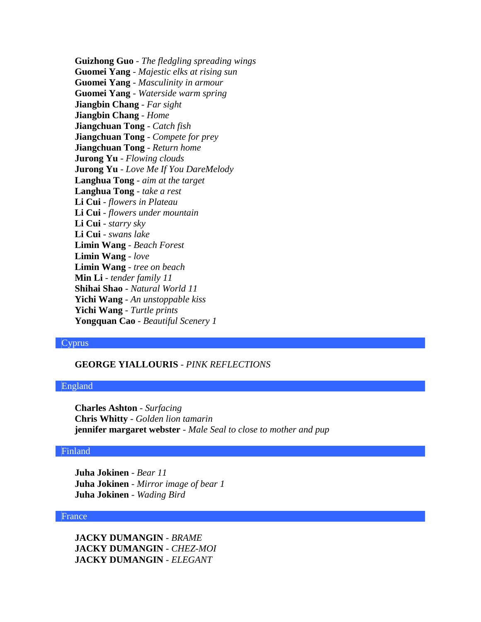**Guizhong Guo** - *The fledgling spreading wings* **Guomei Yang** - *Majestic elks at rising sun* **Guomei Yang** - *Masculinity in armour* **Guomei Yang** - *Waterside warm spring* **Jiangbin Chang** - *Far sight* **Jiangbin Chang** - *Home* **Jiangchuan Tong** - *Catch fish* **Jiangchuan Tong** - *Compete for prey* **Jiangchuan Tong** - *Return home* **Jurong Yu** - *Flowing clouds* **Jurong Yu** - *Love Me If You DareMelody* **Langhua Tong** - *aim at the target* **Langhua Tong** - *take a rest* **Li Cui** - *flowers in Plateau* **Li Cui** - *flowers under mountain* **Li Cui** - *starry sky* **Li Cui** - *swans lake* **Limin Wang** - *Beach Forest* **Limin Wang** - *love* **Limin Wang** - *tree on beach* **Min Li** - *tender family 11* **Shihai Shao** - *Natural World 11* **Yichi Wang** - *An unstoppable kiss* **Yichi Wang** - *Turtle prints* **Yongquan Cao** - *Beautiful Scenery 1*

### Cyprus

# **GEORGE YIALLOURIS** - *PINK REFLECTIONS*

#### England

**Charles Ashton** - *Surfacing* **Chris Whitty** - *Golden lion tamarin* **jennifer margaret webster** - *Male Seal to close to mother and pup*

## Finland

**Juha Jokinen** - *Bear 11* **Juha Jokinen** - *Mirror image of bear 1* **Juha Jokinen** - *Wading Bird*

#### France

**JACKY DUMANGIN** - *BRAME* **JACKY DUMANGIN** - *CHEZ-MOI* **JACKY DUMANGIN** - *ELEGANT*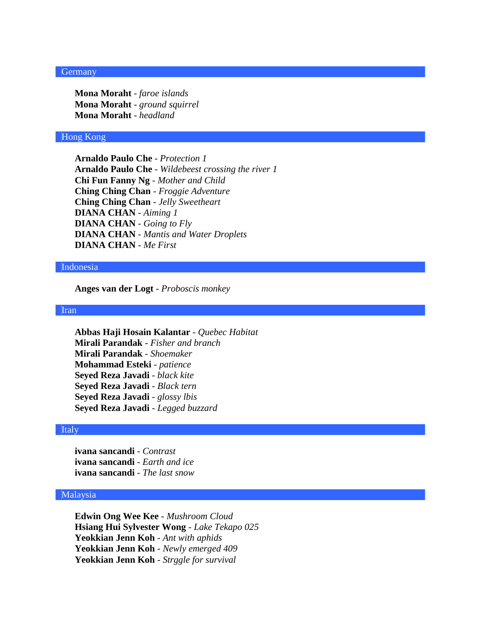### Germany

**Mona Moraht** - *faroe islands* **Mona Moraht** - *ground squirrel* **Mona Moraht** - *headland*

## Hong Kong

**Arnaldo Paulo Che** - *Protection 1* **Arnaldo Paulo Che** - *Wildebeest crossing the river 1* **Chi Fun Fanny Ng** - *Mother and Child* **Ching Ching Chan** - *Froggie Adventure* **Ching Ching Chan** - *Jelly Sweetheart* **DIANA CHAN** - *Aiming 1* **DIANA CHAN** - *Going to Fly* **DIANA CHAN** - *Mantis and Water Droplets* **DIANA CHAN** - *Me First*

#### Indonesia

**Anges van der Logt** - *Proboscis monkey*

## Iran

**Abbas Haji Hosain Kalantar** - *Quebec Habitat* **Mirali Parandak** - *Fisher and branch* **Mirali Parandak** - *Shoemaker* **Mohammad Esteki** - *patience* **Seyed Reza Javadi** - *black kite* **Seyed Reza Javadi** - *Black tern* **Seyed Reza Javadi** - *glossy lbis* **Seyed Reza Javadi** - *Legged buzzard*

#### Italy

**ivana sancandi** - *Contrast* **ivana sancandi** - *Earth and ice* **ivana sancandi** - *The last snow*

## Malaysia

**Edwin Ong Wee Kee** - *Mushroom Cloud* **Hsiang Hui Sylvester Wong** - *Lake Tekapo 025* **Yeokkian Jenn Koh** - *Ant with aphids* **Yeokkian Jenn Koh** - *Newly emerged 409* **Yeokkian Jenn Koh** - *Strggle for survival*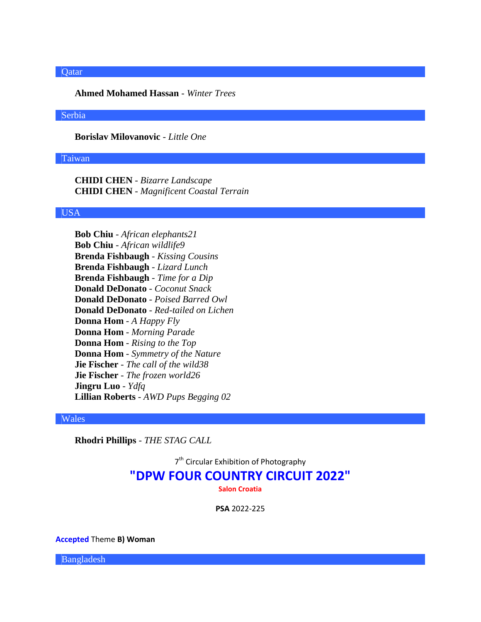#### Qatar

**Ahmed Mohamed Hassan** - *Winter Trees*

#### Serbia

**Borislav Milovanovic** - *Little One*

## Taiwan

**CHIDI CHEN** - *Bizarre Landscape* **CHIDI CHEN** - *Magnificent Coastal Terrain*

## USA

**Bob Chiu** - *African elephants21* **Bob Chiu** - *African wildlife9* **Brenda Fishbaugh** - *Kissing Cousins* **Brenda Fishbaugh** - *Lizard Lunch* **Brenda Fishbaugh** - *Time for a Dip* **Donald DeDonato** - *Coconut Snack* **Donald DeDonato** - *Poised Barred Owl* **Donald DeDonato** - *Red-tailed on Lichen* **Donna Hom** - *A Happy Fly* **Donna Hom** - *Morning Parade* **Donna Hom** - *Rising to the Top* **Donna Hom** - *Symmetry of the Nature* **Jie Fischer** - *The call of the wild38* **Jie Fischer** - *The frozen world26* **Jingru Luo** - *Ydfq* **Lillian Roberts** - *AWD Pups Begging 02*

#### Wales

**Rhodri Phillips** - *THE STAG CALL*

7<sup>th</sup> Circular Exhibition of Photography

# **"DPW FOUR COUNTRY CIRCUIT 2022"**

**Salon Croatia**

**PSA** 2022-225

**Accepted** Theme **B) Woman**

Bangladesh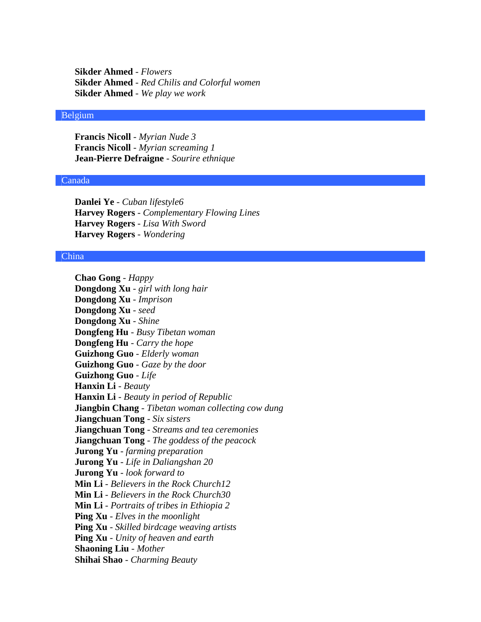**Sikder Ahmed** - *Flowers* **Sikder Ahmed** - *Red Chilis and Colorful women* **Sikder Ahmed** - *We play we work*

## Belgium

**Francis Nicoll** - *Myrian Nude 3* **Francis Nicoll** - *Myrian screaming 1* **Jean-Pierre Defraigne** - *Sourire ethnique*

# Canada

**Danlei Ye** - *Cuban lifestyle6* **Harvey Rogers** - *Complementary Flowing Lines* **Harvey Rogers** - *Lisa With Sword* **Harvey Rogers** - *Wondering*

## China

**Chao Gong** - *Happy* **Dongdong Xu** - *girl with long hair* **Dongdong Xu** - *Imprison* **Dongdong Xu** - *seed* **Dongdong Xu** - *Shine* **Dongfeng Hu** - *Busy Tibetan woman* **Dongfeng Hu** - *Carry the hope* **Guizhong Guo** - *Elderly woman* **Guizhong Guo** - *Gaze by the door* **Guizhong Guo** - *Life* **Hanxin Li** - *Beauty* **Hanxin Li** - *Beauty in period of Republic* **Jiangbin Chang** - *Tibetan woman collecting cow dung* **Jiangchuan Tong** - *Six sisters* **Jiangchuan Tong** - *Streams and tea ceremonies* **Jiangchuan Tong** - *The goddess of the peacock* **Jurong Yu** - *farming preparation* **Jurong Yu** - *Life in Daliangshan 20* **Jurong Yu** - *look forward to* **Min Li** - *Believers in the Rock Church12* **Min Li** - *Believers in the Rock Church30* **Min Li** - *Portraits of tribes in Ethiopia 2* **Ping Xu** - *Elves in the moonlight* **Ping Xu** - *Skilled birdcage weaving artists* **Ping Xu** - *Unity of heaven and earth* **Shaoning Liu** - *Mother* **Shihai Shao** - *Charming Beauty*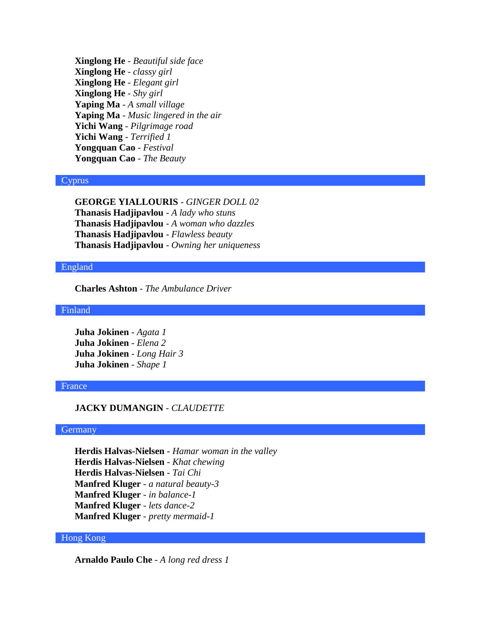**Xinglong He** - *Beautiful side face* **Xinglong He** - *classy girl* **Xinglong He** - *Elegant girl* **Xinglong He** - *Shy girl* **Yaping Ma** - *A small village* **Yaping Ma** - *Music lingered in the air* **Yichi Wang** - *Pilgrimage road* **Yichi Wang** - *Terrified 1* **Yongquan Cao** - *Festival* **Yongquan Cao** - *The Beauty*

## Cyprus

**GEORGE YIALLOURIS** - *GINGER DOLL 02* **Thanasis Hadjipavlou** - *A lady who stuns* **Thanasis Hadjipavlou** - *A woman who dazzles* **Thanasis Hadjipavlou** - *Flawless beauty* **Thanasis Hadjipavlou** - *Owning her uniqueness*

## England

**Charles Ashton** - *The Ambulance Driver*

Finland

**Juha Jokinen** - *Agata 1* **Juha Jokinen** - *Elena 2* **Juha Jokinen** - *Long Hair 3* **Juha Jokinen** - *Shape 1*

## France

## **JACKY DUMANGIN** - *CLAUDETTE*

#### **Germany**

**Herdis Halvas-Nielsen** - *Hamar woman in the valley* **Herdis Halvas-Nielsen** - *Khat chewing* **Herdis Halvas-Nielsen** - *Tai Chi* **Manfred Kluger** - *a natural beauty-3* **Manfred Kluger** - *in balance-1* **Manfred Kluger** - *lets dance-2* **Manfred Kluger** - *pretty mermaid-1*

## Hong Kong

**Arnaldo Paulo Che** - *A long red dress 1*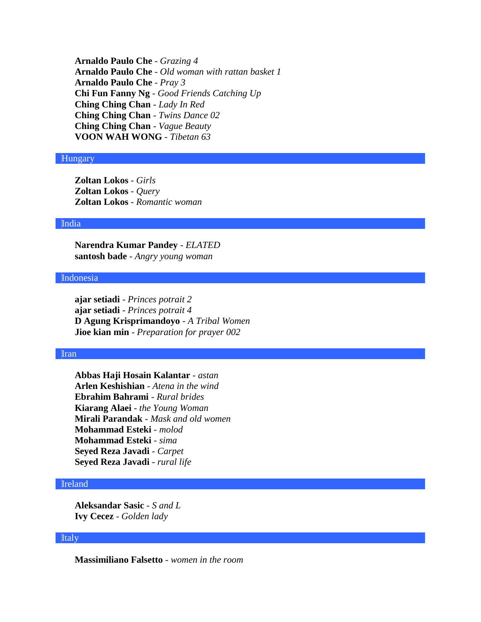**Arnaldo Paulo Che** - *Grazing 4* **Arnaldo Paulo Che** - *Old woman with rattan basket 1* **Arnaldo Paulo Che** - *Pray 3* **Chi Fun Fanny Ng** - *Good Friends Catching Up* **Ching Ching Chan** - *Lady In Red* **Ching Ching Chan** - *Twins Dance 02* **Ching Ching Chan** - *Vague Beauty* **VOON WAH WONG** - *Tibetan 63*

#### Hungary

**Zoltan Lokos** - *Girls* **Zoltan Lokos** - *Query* **Zoltan Lokos** - *Romantic woman*

#### India

**Narendra Kumar Pandey** - *ELATED* **santosh bade** - *Angry young woman*

## Indonesia

**ajar setiadi** - *Princes potrait 2* **ajar setiadi** - *Princes potrait 4* **D Agung Krisprimandoyo** - *A Tribal Women* **Jioe kian min** - *Preparation for prayer 002*

# Iran

**Abbas Haji Hosain Kalantar** - *astan* **Arlen Keshishian** - *Atena in the wind* **Ebrahim Bahrami** - *Rural brides* **Kiarang Alaei** - *the Young Woman* **Mirali Parandak** - *Mask and old women* **Mohammad Esteki** - *molod* **Mohammad Esteki** - *sima* **Seyed Reza Javadi** - *Carpet* **Seyed Reza Javadi** - *rural life*

## Ireland

**Aleksandar Sasic** - *S and L* **Ivy Cecez** - *Golden lady*

## Italy

**Massimiliano Falsetto** - *women in the room*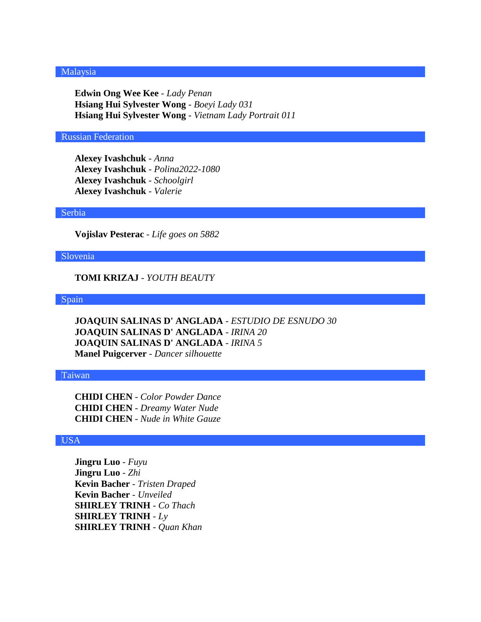## Malaysia

**Edwin Ong Wee Kee** - *Lady Penan* **Hsiang Hui Sylvester Wong** - *Boeyi Lady 031* **Hsiang Hui Sylvester Wong** - *Vietnam Lady Portrait 011*

## Russian Federation

**Alexey Ivashchuk** - *Anna* **Alexey Ivashchuk** - *Polina2022-1080* **Alexey Ivashchuk** - *Schoolgirl* **Alexey Ivashchuk** - *Valerie*

#### Serbia

**Vojislav Pesterac** - *Life goes on 5882*

## Slovenia

**TOMI KRIZAJ** - *YOUTH BEAUTY*

## Spain

**JOAQUIN SALINAS D' ANGLADA** - *ESTUDIO DE ESNUDO 30* **JOAQUIN SALINAS D' ANGLADA** - *IRINA 20* **JOAQUIN SALINAS D' ANGLADA** - *IRINA 5* **Manel Puigcerver** - *Dancer silhouette*

## Taiwan

**CHIDI CHEN** - *Color Powder Dance* **CHIDI CHEN** - *Dreamy Water Nude* **CHIDI CHEN** - *Nude in White Gauze*

# USA

**Jingru Luo** - *Fuyu* **Jingru Luo** - *Zhi* **Kevin Bacher** - *Tristen Draped* **Kevin Bacher** - *Unveiled* **SHIRLEY TRINH** - *Co Thach* **SHIRLEY TRINH** - *Ly* **SHIRLEY TRINH** - *Quan Khan*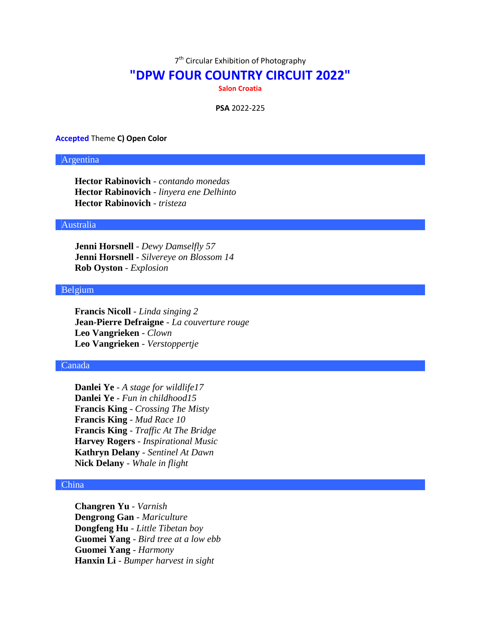7<sup>th</sup> Circular Exhibition of Photography

# **"DPW FOUR COUNTRY CIRCUIT 2022"**

**Salon Croatia**

**PSA** 2022-225

#### **Accepted** Theme **C) Open Color**

## Argentina

**Hector Rabinovich** - *contando monedas* **Hector Rabinovich** - *linyera ene Delhinto* **Hector Rabinovich** - *tristeza*

#### Australia

**Jenni Horsnell** - *Dewy Damselfly 57* **Jenni Horsnell** - *Silvereye on Blossom 14* **Rob Oyston** - *Explosion*

# Belgium

**Francis Nicoll** - *Linda singing 2* **Jean-Pierre Defraigne** - *La couverture rouge* **Leo Vangrieken** - *Clown* **Leo Vangrieken** - *Verstoppertje*

#### Canada

**Danlei Ye** - *A stage for wildlife17* **Danlei Ye** - *Fun in childhood15* **Francis King** - *Crossing The Misty* **Francis King** - *Mud Race 10* **Francis King** - *Traffic At The Bridge* **Harvey Rogers** - *Inspirational Music* **Kathryn Delany** - *Sentinel At Dawn* **Nick Delany** - *Whale in flight*

#### China

**Changren Yu** - *Varnish* **Dengrong Gan** - *Mariculture* **Dongfeng Hu** - *Little Tibetan boy* **Guomei Yang** - *Bird tree at a low ebb* **Guomei Yang** - *Harmony* **Hanxin Li** - *Bumper harvest in sight*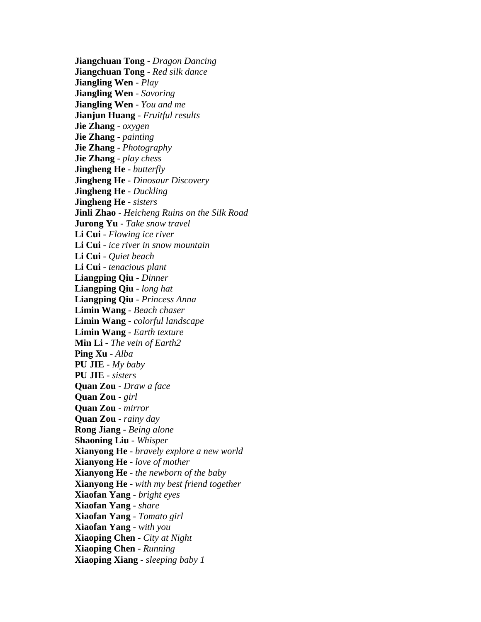**Jiangchuan Tong** - *Dragon Dancing* **Jiangchuan Tong** - *Red silk dance* **Jiangling Wen** - *Play* **Jiangling Wen** - *Savoring* **Jiangling Wen** - *You and me* **Jianjun Huang** - *Fruitful results* **Jie Zhang** - *oxygen* **Jie Zhang** - *painting* **Jie Zhang** - *Photography* **Jie Zhang** - *play chess* **Jingheng He** - *butterfly* **Jingheng He** - *Dinosaur Discovery* **Jingheng He** - *Duckling* **Jingheng He** - *sisters* **Jinli Zhao** - *Heicheng Ruins on the Silk Road* **Jurong Yu** - *Take snow travel* **Li Cui** - *Flowing ice river* **Li Cui** - *ice river in snow mountain* **Li Cui** - *Quiet beach* **Li Cui** - *tenacious plant* **Liangping Qiu** - *Dinner* **Liangping Qiu** - *long hat* **Liangping Qiu** - *Princess Anna* **Limin Wang** - *Beach chaser* **Limin Wang** - *colorful landscape* **Limin Wang** - *Earth texture* **Min Li** - *The vein of Earth2* **Ping Xu** - *Alba* **PU JIE** - *My baby* **PU JIE** - *sisters* **Quan Zou** - *Draw a face* **Quan Zou** - *girl* **Quan Zou** - *mirror* **Quan Zou** - *rainy day* **Rong Jiang** - *Being alone* **Shaoning Liu** - *Whisper* **Xianyong He** - *bravely explore a new world* **Xianyong He** - *love of mother* **Xianyong He** - *the newborn of the baby* **Xianyong He** - *with my best friend together* **Xiaofan Yang** - *bright eyes* **Xiaofan Yang** - *share* **Xiaofan Yang** - *Tomato girl* **Xiaofan Yang** - *with you* **Xiaoping Chen** - *City at Night* **Xiaoping Chen** - *Running* **Xiaoping Xiang** - *sleeping baby 1*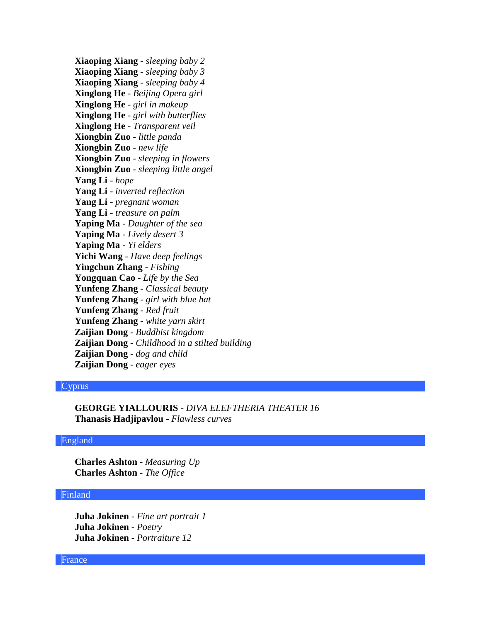**Xiaoping Xiang** - *sleeping baby 2* **Xiaoping Xiang** - *sleeping baby 3* **Xiaoping Xiang** - *sleeping baby 4* **Xinglong He** - *Beijing Opera girl* **Xinglong He** - *girl in makeup* **Xinglong He** - *girl with butterflies* **Xinglong He** - *Transparent veil* **Xiongbin Zuo** - *little panda* **Xiongbin Zuo** - *new life* **Xiongbin Zuo** - *sleeping in flowers* **Xiongbin Zuo** - *sleeping little angel* **Yang Li** - *hope* **Yang Li** - *inverted reflection* **Yang Li** - *pregnant woman* **Yang Li** - *treasure on palm* **Yaping Ma** - *Daughter of the sea* **Yaping Ma** - *Lively desert 3* **Yaping Ma** - *Yi elders* **Yichi Wang** - *Have deep feelings* **Yingchun Zhang** - *Fishing* **Yongquan Cao** - *Life by the Sea* **Yunfeng Zhang** - *Classical beauty* **Yunfeng Zhang** - *girl with blue hat* **Yunfeng Zhang** - *Red fruit* **Yunfeng Zhang** - *white yarn skirt* **Zaijian Dong** - *Buddhist kingdom* **Zaijian Dong** - *Childhood in a stilted building* **Zaijian Dong** - *dog and child* **Zaijian Dong** - *eager eyes*

## Cyprus

**GEORGE YIALLOURIS** - *DIVA ELEFTHERIA THEATER 16* **Thanasis Hadjipavlou** - *Flawless curves*

## England

**Charles Ashton** - *Measuring Up* **Charles Ashton** - *The Office*

## Finland

**Juha Jokinen** - *Fine art portrait 1* **Juha Jokinen** - *Poetry* **Juha Jokinen** - *Portraiture 12*

#### France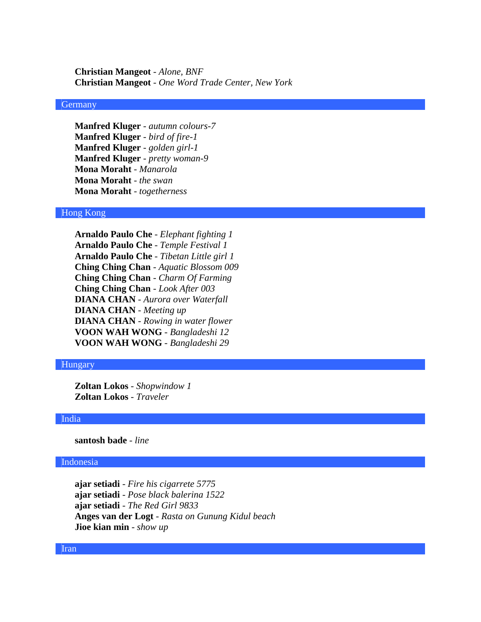**Christian Mangeot** - *Alone, BNF* **Christian Mangeot** - *One Word Trade Center, New York*

# **Germany**

**Manfred Kluger** - *autumn colours-7* **Manfred Kluger** - *bird of fire-1* **Manfred Kluger** - *golden girl-1* **Manfred Kluger** - *pretty woman-9* **Mona Moraht** - *Manarola* **Mona Moraht** - *the swan* **Mona Moraht** - *togetherness*

## Hong Kong

**Arnaldo Paulo Che** - *Elephant fighting 1* **Arnaldo Paulo Che** - *Temple Festival 1* **Arnaldo Paulo Che** - *Tibetan Little girl 1* **Ching Ching Chan** - *Aquatic Blossom 009* **Ching Ching Chan** - *Charm Of Farming* **Ching Ching Chan** - *Look After 003* **DIANA CHAN** - *Aurora over Waterfall* **DIANA CHAN** - *Meeting up* **DIANA CHAN** - *Rowing in water flower* **VOON WAH WONG** - *Bangladeshi 12* **VOON WAH WONG** - *Bangladeshi 29*

#### Hungary

**Zoltan Lokos** - *Shopwindow 1* **Zoltan Lokos** - *Traveler*

#### India

**santosh bade** - *line*

## Indonesia

**ajar setiadi** - *Fire his cigarrete 5775* **ajar setiadi** - *Pose black balerina 1522* **ajar setiadi** - *The Red Girl 9833* **Anges van der Logt** - *Rasta on Gunung Kidul beach* **Jioe kian min** - *show up*

#### Iran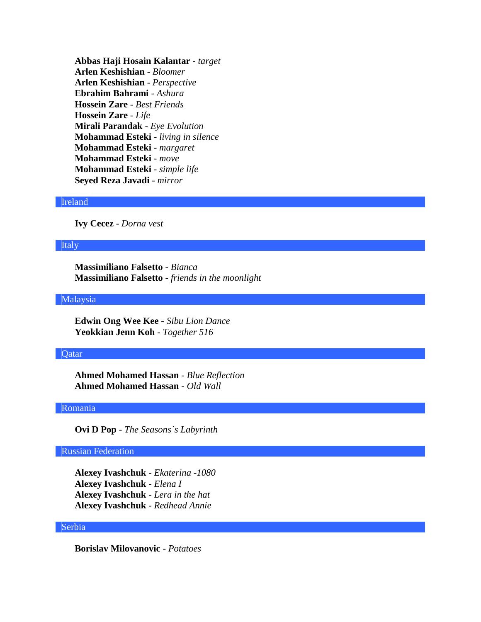**Abbas Haji Hosain Kalantar** - *target* **Arlen Keshishian** - *Bloomer* **Arlen Keshishian** - *Perspective* **Ebrahim Bahrami** - *Ashura* **Hossein Zare** - *Best Friends* **Hossein Zare** - *Life* **Mirali Parandak** - *Eye Evolution* **Mohammad Esteki** - *living in silence* **Mohammad Esteki** - *margaret* **Mohammad Esteki** - *move* **Mohammad Esteki** - *simple life* **Seyed Reza Javadi** - *mirror*

## Ireland

**Ivy Cecez** - *Dorna vest*

## Italy

**Massimiliano Falsetto** - *Bianca* **Massimiliano Falsetto** - *friends in the moonlight*

### Malaysia

**Edwin Ong Wee Kee** - *Sibu Lion Dance* **Yeokkian Jenn Koh** - *Together 516*

## **Qatar**

**Ahmed Mohamed Hassan** - *Blue Reflection* **Ahmed Mohamed Hassan** - *Old Wall*

## Romania

**Ovi D Pop** - *The Seasons`s Labyrinth*

# Russian Federation

**Alexey Ivashchuk** - *Ekaterina -1080* **Alexey Ivashchuk** - *Elena I* **Alexey Ivashchuk** - *Lera in the hat* **Alexey Ivashchuk** - *Redhead Annie*

## Serbia

**Borislav Milovanovic** - *Potatoes*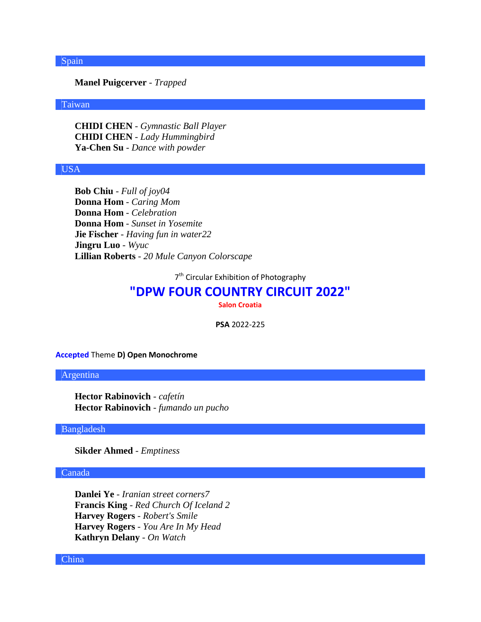## Spain

# **Manel Puigcerver** - *Trapped*

## Taiwan

**CHIDI CHEN** - *Gymnastic Ball Player* **CHIDI CHEN** - *Lady Hummingbird* **Ya-Chen Su** - *Dance with powder*

## USA

**Bob Chiu** - *Full of joy04* **Donna Hom** - *Caring Mom* **Donna Hom** - *Celebration* **Donna Hom** - *Sunset in Yosemite* **Jie Fischer** - *Having fun in water22* **Jingru Luo** - *Wyuc* **Lillian Roberts** - *20 Mule Canyon Colorscape*

7<sup>th</sup> Circular Exhibition of Photography

# **"DPW FOUR COUNTRY CIRCUIT 2022"**

**Salon Croatia**

**PSA** 2022-225

**Accepted** Theme **D) Open Monochrome**

#### Argentina

**Hector Rabinovich** - *cafetín* **Hector Rabinovich** - *fumando un pucho*

Bangladesh

**Sikder Ahmed** - *Emptiness*

## Canada

**Danlei Ye** - *Iranian street corners7* **Francis King** - *Red Church Of Iceland 2* **Harvey Rogers** - *Robert's Smile* **Harvey Rogers** - *You Are In My Head* **Kathryn Delany** - *On Watch*

China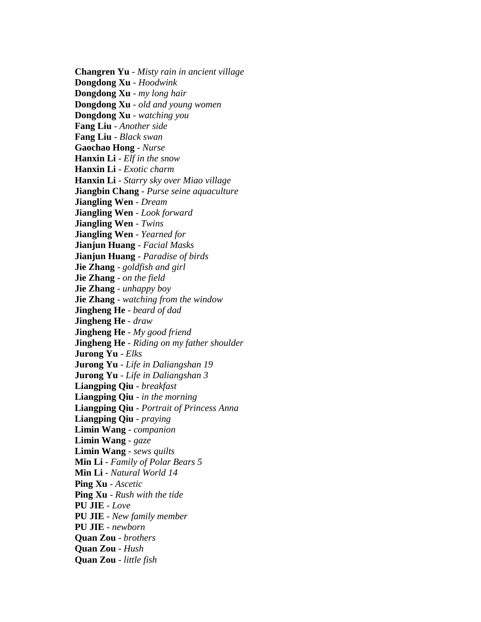**Changren Yu** - *Misty rain in ancient village* **Dongdong Xu** - *Hoodwink* **Dongdong Xu** - *my long hair* **Dongdong Xu** - *old and young women* **Dongdong Xu** - *watching you* **Fang Liu** - *Another side* **Fang Liu** - *Black swan* **Gaochao Hong** - *Nurse* **Hanxin Li** - *Elf in the snow* **Hanxin Li** - *Exotic charm* **Hanxin Li** - *Starry sky over Miao village* **Jiangbin Chang** - *Purse seine aquaculture* **Jiangling Wen** - *Dream* **Jiangling Wen** - *Look forward* **Jiangling Wen** - *Twins* **Jiangling Wen** - *Yearned for* **Jianjun Huang** - *Facial Masks* **Jianjun Huang** - *Paradise of birds* **Jie Zhang** - *goldfish and girl* **Jie Zhang** - *on the field* **Jie Zhang** - *unhappy boy* **Jie Zhang** - *watching from the window* **Jingheng He** - *beard of dad* **Jingheng He** - *draw* **Jingheng He** - *My good friend* **Jingheng He** - *Riding on my father shoulder* **Jurong Yu** - *Elks* **Jurong Yu** - *Life in Daliangshan 19* **Jurong Yu** - *Life in Daliangshan 3* **Liangping Qiu** - *breakfast* **Liangping Qiu** - *in the morning* **Liangping Qiu** - *Portrait of Princess Anna* **Liangping Qiu** - *praying* **Limin Wang** - *companion* **Limin Wang** - *gaze* **Limin Wang** - *sews quilts* **Min Li** - *Family of Polar Bears 5* **Min Li** - *Natural World 14* **Ping Xu** - *Ascetic* **Ping Xu** - *Rush with the tide* **PU JIE** - *Love* **PU JIE** - *New family member* **PU JIE** - *newborn* **Quan Zou** - *brothers* **Quan Zou** - *Hush* **Quan Zou** - *little fish*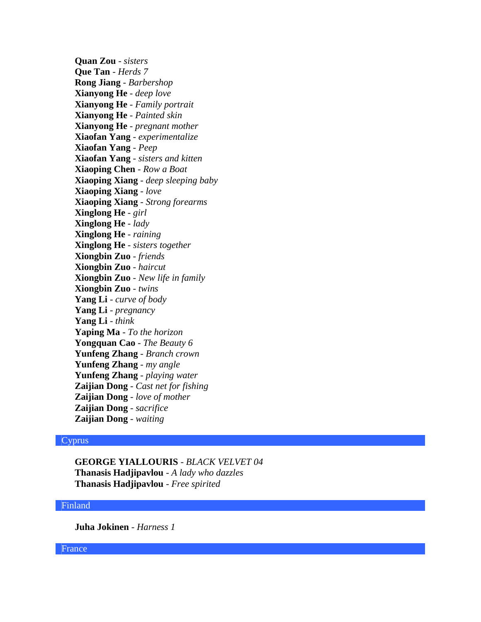**Quan Zou** - *sisters* **Que Tan** - *Herds 7* **Rong Jiang** - *Barbershop* **Xianyong He** - *deep love* **Xianyong He** - *Family portrait* **Xianyong He** - *Painted skin* **Xianyong He** - *pregnant mother* **Xiaofan Yang** - *experimentalize* **Xiaofan Yang** - *Peep* **Xiaofan Yang** - *sisters and kitten* **Xiaoping Chen** - *Row a Boat* **Xiaoping Xiang** - *deep sleeping baby* **Xiaoping Xiang** - *love* **Xiaoping Xiang** - *Strong forearms* **Xinglong He** - *girl* **Xinglong He** - *lady* **Xinglong He** - *raining* **Xinglong He** - *sisters together* **Xiongbin Zuo** - *friends* **Xiongbin Zuo** - *haircut* **Xiongbin Zuo** - *New life in family* **Xiongbin Zuo** - *twins* **Yang Li** - *curve of body* **Yang Li** - *pregnancy* **Yang Li** - *think* **Yaping Ma** - *To the horizon* **Yongquan Cao** - *The Beauty 6* **Yunfeng Zhang** - *Branch crown* **Yunfeng Zhang** - *my angle* **Yunfeng Zhang** - *playing water* **Zaijian Dong** - *Cast net for fishing* **Zaijian Dong** - *love of mother* **Zaijian Dong** - *sacrifice* **Zaijian Dong** - *waiting*

# **Cyprus**

**GEORGE YIALLOURIS** - *BLACK VELVET 04* **Thanasis Hadjipavlou** - *A lady who dazzles* **Thanasis Hadjipavlou** - *Free spirited*

# Finland

**Juha Jokinen** - *Harness 1*

France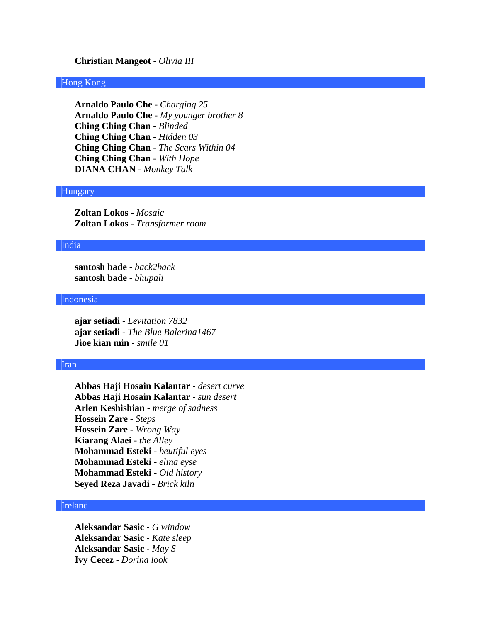#### **Christian Mangeot** - *Olivia III*

## Hong Kong

**Arnaldo Paulo Che** - *Charging 25* **Arnaldo Paulo Che** - *My younger brother 8* **Ching Ching Chan** - *Blinded* **Ching Ching Chan** - *Hidden 03* **Ching Ching Chan** - *The Scars Within 04* **Ching Ching Chan** - *With Hope* **DIANA CHAN** - *Monkey Talk*

#### Hungary

**Zoltan Lokos** - *Mosaic* **Zoltan Lokos** - *Transformer room*

## India

**santosh bade** - *back2back* **santosh bade** - *bhupali*

### Indonesia

**ajar setiadi** - *Levitation 7832* **ajar setiadi** - *The Blue Balerina1467* **Jioe kian min** - *smile 01*

#### Iran

**Abbas Haji Hosain Kalantar** - *desert curve* **Abbas Haji Hosain Kalantar** - *sun desert* **Arlen Keshishian** - *merge of sadness* **Hossein Zare** - *Steps* **Hossein Zare** - *Wrong Way* **Kiarang Alaei** - *the Alley* **Mohammad Esteki** - *beutiful eyes* **Mohammad Esteki** - *elina eyse* **Mohammad Esteki** - *Old history* **Seyed Reza Javadi** - *Brick kiln*

# Ireland

**Aleksandar Sasic** - *G window* **Aleksandar Sasic** - *Kate sleep* **Aleksandar Sasic** - *May S* **Ivy Cecez** - *Dorina look*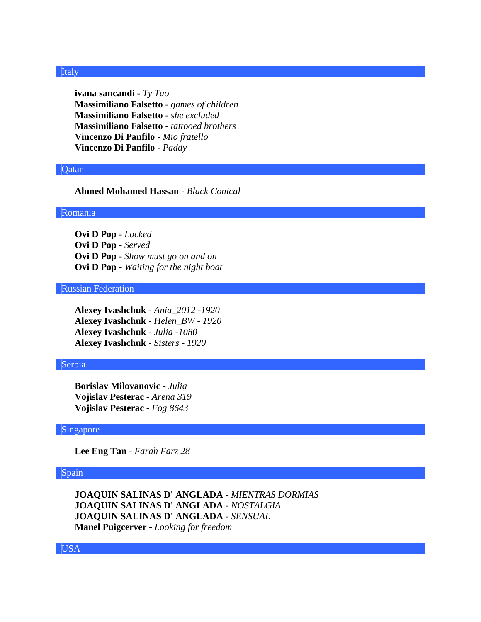### Italy

**ivana sancandi** - *Ty Tao* **Massimiliano Falsetto** - *games of children* **Massimiliano Falsetto** - *she excluded* **Massimiliano Falsetto** - *tattooed brothers* **Vincenzo Di Panfilo** - *Mio fratello* **Vincenzo Di Panfilo** - *Paddy*

## **O**atar

## **Ahmed Mohamed Hassan** - *Black Conical*

#### Romania

**Ovi D Pop** - *Locked* **Ovi D Pop** - *Served* **Ovi D Pop** - *Show must go on and on* **Ovi D Pop** - *Waiting for the night boat*

## Russian Federation

**Alexey Ivashchuk** - *Ania\_2012 -1920* **Alexey Ivashchuk** - *Helen\_BW - 1920* **Alexey Ivashchuk** - *Julia -1080* **Alexey Ivashchuk** - *Sisters - 1920*

#### Serbia

**Borislav Milovanovic** - *Julia* **Vojislav Pesterac** - *Arena 319* **Vojislav Pesterac** - *Fog 8643*

#### Singapore

**Lee Eng Tan** - *Farah Farz 28*

#### Spain

**JOAQUIN SALINAS D' ANGLADA** - *MIENTRAS DORMIAS* **JOAQUIN SALINAS D' ANGLADA** - *NOSTALGIA* **JOAQUIN SALINAS D' ANGLADA** - *SENSUAL* **Manel Puigcerver** - *Looking for freedom*

USA